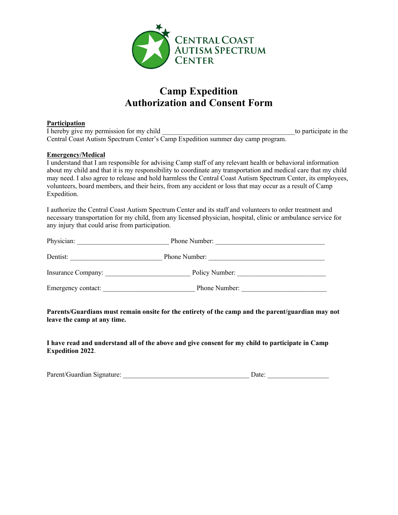

# **Camp Expedition Authorization and Consent Form**

#### **Participation**

I hereby give my permission for my child to participate in the state in the state of the state in the state in the state in the state in the state in the state in the state in the state in the state in the state in the sta Central Coast Autism Spectrum Center's Camp Expedition summer day camp program.

#### **Emergency/Medical**

I understand that I am responsible for advising Camp staff of any relevant health or behavioral information about my child and that it is my responsibility to coordinate any transportation and medical care that my child may need. I also agree to release and hold harmless the Central Coast Autism Spectrum Center, its employees, volunteers, board members, and their heirs, from any accident or loss that may occur as a result of Camp Expedition.

I authorize the Central Coast Autism Spectrum Center and its staff and volunteers to order treatment and necessary transportation for my child, from any licensed physician, hospital, clinic or ambulance service for any injury that could arise from participation.

| Physician:         | Phone Number:  |  |  |  |  |
|--------------------|----------------|--|--|--|--|
| Dentist:           | Phone Number:  |  |  |  |  |
| Insurance Company: | Policy Number: |  |  |  |  |
| Emergency contact: | Phone Number:  |  |  |  |  |

#### **Parents/Guardians must remain onsite for the entirety of the camp and the parent/guardian may not leave the camp at any time.**

**I have read and understand all of the above and give consent for my child to participate in Camp Expedition 2022**.

| Parent/Guardian Signature: |  |  |
|----------------------------|--|--|
|                            |  |  |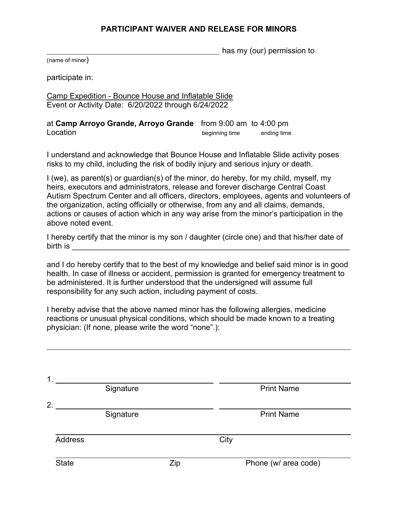### **PARTICIPANT WAIVER AND RELEASE FOR MINORS**

has my (our) permission to

(name of minor)

participate in:

Camp Expedition - Bounce House and Inflatable Slide Event or Activity Date: 6/20/2022 through 6/24/2022

at **Camp Arroyo Grande, Arroyo Grande** from 9:00 am to 4:00 pm Location **Location Contract Contract Contract Contract Contract Contract Contract Contract Contract Contract Contract Contract Contract Contract Contract Contract Contract Contract Contract Contract Contract Contract Con** 

I understand and acknowledge that Bounce House and Inflatable Slide activity poses risks to my child, including the risk of bodily injury and serious injury or death.

I (we), as parent(s) or guardian(s) of the minor, do hereby, for my child, myself, my heirs, executors and administrators, release and forever discharge Central Coast Autism Spectrum Center and all officers, directors, employees, agents and volunteers of the organization, acting officially or otherwise, from any and all claims, demands, actions or causes of action which in any way arise from the minor's participation in the above noted event.

I hereby certify that the minor is my son / daughter (circle one) and that his/her date of  $\frac{1}{2}$  birth is  $\frac{1}{2}$  and  $\frac{1}{2}$  and  $\frac{1}{2}$  and  $\frac{1}{2}$  and  $\frac{1}{2}$  and  $\frac{1}{2}$  and  $\frac{1}{2}$  and  $\frac{1}{2}$  and  $\frac{1}{2}$  and  $\frac{1}{2}$  and  $\frac{1}{2}$  and  $\frac{1}{2}$  and  $\frac{1}{2}$  and  $\frac{1}{2}$  and  $\frac{1}{$ 

and I do hereby certify that to the best of my knowledge and belief said minor is in good health. In case of illness or accident, permission is granted for emergency treatment to be administered. It is further understood that the undersigned will assume full responsibility for any such action, including payment of costs.

I hereby advise that the above named minor has the following allergies, medicine reactions or unusual physical conditions, which should be made known to a treating physician: (If none, please write the word "none".):

| 1.             |           |     |      |                      |
|----------------|-----------|-----|------|----------------------|
|                | Signature |     |      | <b>Print Name</b>    |
| 2.             | Signature |     |      | <b>Print Name</b>    |
| <b>Address</b> |           |     | City |                      |
| <b>State</b>   |           | Zip |      | Phone (w/ area code) |